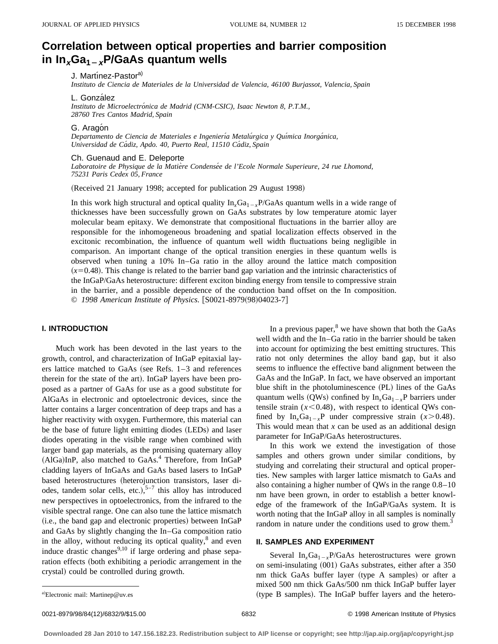# **Correlation between optical properties and barrier composition** in  $\ln_{x}Ga_{1-x}P/GaAs$  quantum wells

J. Martínez-Pastor<sup>a)</sup>

*Instituto de Ciencia de Materiales de la Universidad de Valencia, 46100 Burjassot, Valencia, Spain*

L. González

*Instituto de Microelectro´nica de Madrid (CNM-CSIC), Isaac Newton 8, P.T.M., 28760 Tres Cantos Madrid, Spain*

#### G. Aragón

*Departamento de Ciencia de Materiales e Ingenierı´a Metalu´rgica y Quı´mica Inorga´nica, Universidad de Ca´diz, Apdo. 40, Puerto Real, 11510 Ca´diz, Spain*

Ch. Guenaud and E. Deleporte

Laboratoire de Physique de la Matière Condensée de l'Ecole Normale Superieure, 24 rue Lhomond, *75231 Paris Cedex 05, France*

(Received 21 January 1998; accepted for publication 29 August 1998)

In this work high structural and optical quality  $\ln_{x}Ga_{1-x}P/GaAs$  quantum wells in a wide range of thicknesses have been successfully grown on GaAs substrates by low temperature atomic layer molecular beam epitaxy. We demonstrate that compositional fluctuations in the barrier alloy are responsible for the inhomogeneous broadening and spatial localization effects observed in the excitonic recombination, the influence of quantum well width fluctuations being negligible in comparison. An important change of the optical transition energies in these quantum wells is observed when tuning a 10% In–Ga ratio in the alloy around the lattice match composition  $(x=0.48)$ . This change is related to the barrier band gap variation and the intrinsic characteristics of the InGaP/GaAs heterostructure: different exciton binding energy from tensile to compressive strain in the barrier, and a possible dependence of the conduction band offset on the In composition. © 1998 American Institute of Physics. [S0021-8979(98)04023-7]

## **I. INTRODUCTION**

Much work has been devoted in the last years to the growth, control, and characterization of InGaP epitaxial layers lattice matched to GaAs (see Refs.  $1-3$  and references therein for the state of the art). InGaP layers have been proposed as a partner of GaAs for use as a good substitute for AlGaAs in electronic and optoelectronic devices, since the latter contains a larger concentration of deep traps and has a higher reactivity with oxygen. Furthermore, this material can be the base of future light emitting diodes (LEDs) and laser diodes operating in the visible range when combined with larger band gap materials, as the promising quaternary alloy (AlGa)InP, also matched to GaAs.<sup>4</sup> Therefore, from InGaP cladding layers of InGaAs and GaAs based lasers to InGaP based heterostructures (heterojunction transistors, laser diodes, tandem solar cells, etc.), $5-7$  this alloy has introduced new perspectives in optoelectronics, from the infrared to the visible spectral range. One can also tune the lattice mismatch (i.e., the band gap and electronic properties) between InGaP and GaAs by slightly changing the In–Ga composition ratio in the alloy, without reducing its optical quality, $^8$  and even induce drastic changes $9,10$  if large ordering and phase separation effects (both exhibiting a periodic arrangement in the crystal) could be controlled during growth.

In a previous paper, $8$  we have shown that both the GaAs well width and the In–Ga ratio in the barrier should be taken into account for optimizing the best emitting structures. This ratio not only determines the alloy band gap, but it also seems to influence the effective band alignment between the GaAs and the InGaP. In fact, we have observed an important blue shift in the photoluminescence (PL) lines of the GaAs quantum wells (QWs) confined by  $In_xGa_{1-x}P$  barriers under tensile strain  $(x<0.48)$ , with respect to identical QWs confined by  $In_xGa_{1-x}P$  under compressive strain ( $x>0.48$ ). This would mean that *x* can be used as an additional design parameter for InGaP/GaAs heterostructures.

In this work we extend the investigation of those samples and others grown under similar conditions, by studying and correlating their structural and optical properties. New samples with larger lattice mismatch to GaAs and also containing a higher number of QWs in the range 0.8–10 nm have been grown, in order to establish a better knowledge of the framework of the InGaP/GaAs system. It is worth noting that the InGaP alloy in all samples is nominally random in nature under the conditions used to grow them.<sup>3</sup>

## **II. SAMPLES AND EXPERIMENT**

Several  $In_xGa_{1-x}P/GaAs$  heterostructures were grown on semi-insulating (001) GaAs substrates, either after a 350 nm thick GaAs buffer layer (type A samples) or after a mixed 500 nm thick GaAs/500 nm thick InGaP buffer layer (type B samples). The InGaP buffer layers and the hetero-

a)Electronic mail: Martinep@uv.es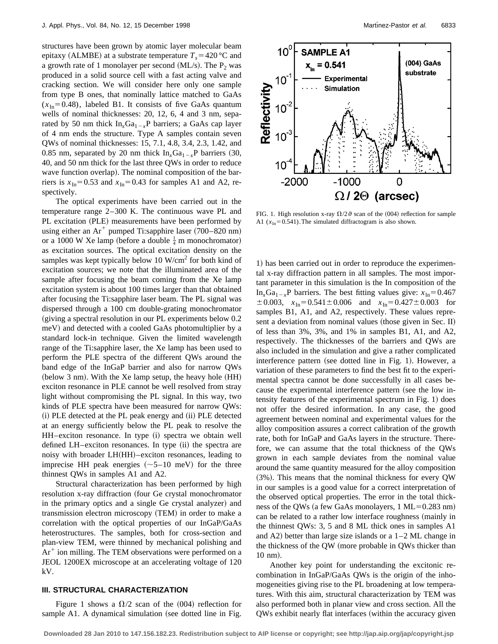structures have been grown by atomic layer molecular beam epitaxy (ALMBE) at a substrate temperature  $T_s = 420 \degree C$  and a growth rate of 1 monolayer per second (ML/s). The  $P_2$  was produced in a solid source cell with a fast acting valve and cracking section. We will consider here only one sample from type B ones, that nominally lattice matched to GaAs  $(x<sub>In</sub>=0.48)$ , labeled B1. It consists of five GaAs quantum wells of nominal thicknesses: 20, 12, 6, 4 and 3 nm, separated by 50 nm thick  $\text{In}_x\text{Ga}_{1-x}\text{P}$  barriers; a GaAs cap layer of 4 nm ends the structure. Type A samples contain seven QWs of nominal thicknesses: 15, 7.1, 4.8, 3.4, 2.3, 1.42, and 0.85 nm, separated by 20 nm thick  $\text{In}_{x}Ga_{1-x}P$  barriers (30, 40, and 50 nm thick for the last three QWs in order to reduce wave function overlap). The nominal composition of the barriers is  $x_{In} = 0.53$  and  $x_{In} = 0.43$  for samples A1 and A2, respectively.

The optical experiments have been carried out in the temperature range 2–300 K. The continuous wave PL and PL excitation (PLE) measurements have been performed by using either an  $Ar^+$  pumped Ti:sapphire laser (700–820 nm) or a 1000 W Xe lamp (before a double  $\frac{1}{4}$  m monochromator) as excitation sources. The optical excitation density on the samples was kept typically below 10  $W/cm<sup>2</sup>$  for both kind of excitation sources; we note that the illuminated area of the sample after focusing the beam coming from the Xe lamp excitation system is about 100 times larger than that obtained after focusing the Ti:sapphire laser beam. The PL signal was dispersed through a 100 cm double-grating monochromator  $(qiving a spectral resolution in our PL experiments below  $0.2$$ meV) and detected with a cooled GaAs photomultiplier by a standard lock-in technique. Given the limited wavelength range of the Ti:sapphire laser, the Xe lamp has been used to perform the PLE spectra of the different QWs around the band edge of the InGaP barrier and also for narrow QWs  $(below 3 nm)$ . With the Xe lamp setup, the heavy hole  $(HH)$ exciton resonance in PLE cannot be well resolved from stray light without compromising the PL signal. In this way, two kinds of PLE spectra have been measured for narrow QWs: (i) PLE detected at the PL peak energy and (ii) PLE detected at an energy sufficiently below the PL peak to resolve the  $HH$ –exciton resonance. In type  $(i)$  spectra we obtain well defined LH–exciton resonances. In type (ii) the spectra are noisy with broader LH(HH)–exciton resonances, leading to imprecise HH peak energies  $(\sim 5-10 \text{ meV})$  for the three thinnest QWs in samples A1 and A2.

Structural characterization has been performed by high resolution x-ray diffraction (four Ge crystal monochromator in the primary optics and a single Ge crystal analyzer) and transmission electron microscopy (TEM) in order to make a correlation with the optical properties of our InGaP/GaAs heterostructures. The samples, both for cross-section and plan-view TEM, were thinned by mechanical polishing and  $Ar<sup>+</sup>$  ion milling. The TEM observations were performed on a JEOL 1200EX microscope at an accelerating voltage of 120 kV.

## **III. STRUCTURAL CHARACTERIZATION**

Figure 1 shows a  $\Omega/2$  scan of the (004) reflection for sample A1. A dynamical simulation (see dotted line in Fig.



FIG. 1. High resolution x-ray  $\Omega/2\vartheta$  scan of the (004) reflection for sample A1  $(x<sub>In</sub>=0.541)$ . The simulated diffractogram is also shown.

1) has been carried out in order to reproduce the experimental x-ray diffraction pattern in all samples. The most important parameter in this simulation is the In composition of the In<sub>x</sub>Ga<sub>1-x</sub>P barriers. The best fitting values give:  $x_{In} = 0.467$  $\pm 0.003$ ,  $x_{\text{In}} = 0.541 \pm 0.006$  and  $x_{\text{In}} = 0.427 \pm 0.003$  for samples B1, A1, and A2, respectively. These values represent a deviation from nominal values (those given in Sec. II) of less than 3%, 3%, and 1% in samples B1, A1, and A2, respectively. The thicknesses of the barriers and QWs are also included in the simulation and give a rather complicated interference pattern (see dotted line in Fig. 1). However, a variation of these parameters to find the best fit to the experimental spectra cannot be done successfully in all cases because the experimental interference pattern (see the low intensity features of the experimental spectrum in Fig. 1) does not offer the desired information. In any case, the good agreement between nominal and experimental values for the alloy composition assures a correct calibration of the growth rate, both for InGaP and GaAs layers in the structure. Therefore, we can assume that the total thickness of the QWs grown in each sample deviates from the nominal value around the same quantity measured for the alloy composition  $(3%)$ . This means that the nominal thickness for every QW in our samples is a good value for a correct interpretation of the observed optical properties. The error in the total thickness of the QWs (a few GaAs monolayers,  $1 \text{ ML} = 0.283 \text{ nm}$ ) can be related to a rather low interface roughness (mainly in the thinnest QWs: 3, 5 and 8 ML thick ones in samples A1 and  $A2$ ) better than large size islands or a  $1-2$  ML change in the thickness of the QW (more probable in QWs thicker than 10 nm).

Another key point for understanding the excitonic recombination in InGaP/GaAs QWs is the origin of the inhomogeneities giving rise to the PL broadening at low temperatures. With this aim, structural characterization by TEM was also performed both in planar view and cross section. All the QWs exhibit nearly flat interfaces (within the accuracy given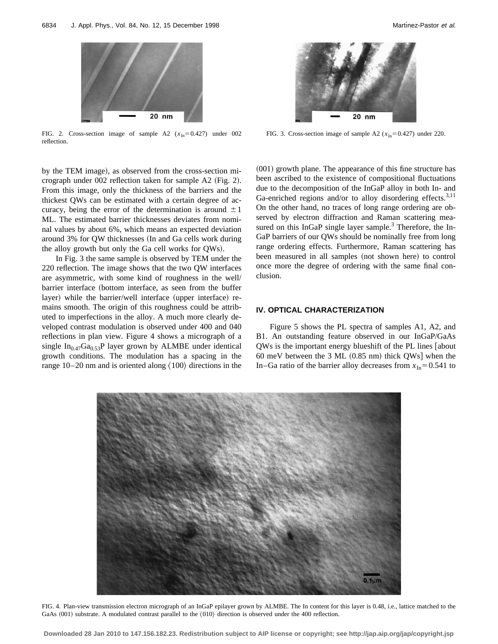

FIG. 2. Cross-section image of sample A2  $(x_{In}=0.427)$  under 002 reflection.

by the TEM image), as observed from the cross-section micrograph under  $002$  reflection taken for sample A2 (Fig. 2). From this image, only the thickness of the barriers and the thickest QWs can be estimated with a certain degree of accuracy, being the error of the determination is around  $\pm 1$ ML. The estimated barrier thicknesses deviates from nominal values by about 6%, which means an expected deviation around 3% for QW thicknesses (In and Ga cells work during the alloy growth but only the Ga cell works for QWs).

In Fig. 3 the same sample is observed by TEM under the 220 reflection. The image shows that the two QW interfaces are asymmetric, with some kind of roughness in the well/ barrier interface (bottom interface, as seen from the buffer layer) while the barrier/well interface (upper interface) remains smooth. The origin of this roughness could be attributed to imperfections in the alloy. A much more clearly developed contrast modulation is observed under 400 and 040 reflections in plan view. Figure 4 shows a micrograph of a single  $In<sub>0.47</sub>Ga<sub>0.53</sub>P$  layer grown by ALMBE under identical growth conditions. The modulation has a spacing in the range  $10-20$  nm and is oriented along  $\langle 100 \rangle$  directions in the

FIG. 3. Cross-section image of sample A2  $(x_{\text{In}}=0.427)$  under 220.

 $(001)$  growth plane. The appearance of this fine structure has been ascribed to the existence of compositional fluctuations due to the decomposition of the InGaP alloy in both In- and Ga-enriched regions and/or to alloy disordering effects.<sup>3,11</sup> On the other hand, no traces of long range ordering are observed by electron diffraction and Raman scattering measured on this InGaP single layer sample. $3$  Therefore, the In-GaP barriers of our QWs should be nominally free from long range ordering effects. Furthermore, Raman scattering has been measured in all samples (not shown here) to control once more the degree of ordering with the same final conclusion.

#### **IV. OPTICAL CHARACTERIZATION**

Figure 5 shows the PL spectra of samples A1, A2, and B1. An outstanding feature observed in our InGaP/GaAs QWs is the important energy blueshift of the PL lines [about 60 meV between the 3 ML  $(0.85 \text{ nm})$  thick QWs when the In–Ga ratio of the barrier alloy decreases from  $x_{In} = 0.541$  to



FIG. 4. Plan-view transmission electron micrograph of an InGaP epilayer grown by ALMBE. The In content for this layer is 0.48, i.e., lattice matched to the GaAs  $(001)$  substrate. A modulated contrast parallel to the  $\langle 010 \rangle$  direction is observed under the 400 reflection.

**Downloaded 28 Jan 2010 to 147.156.182.23. Redistribution subject to AIP license or copyright; see http://jap.aip.org/jap/copyright.jsp**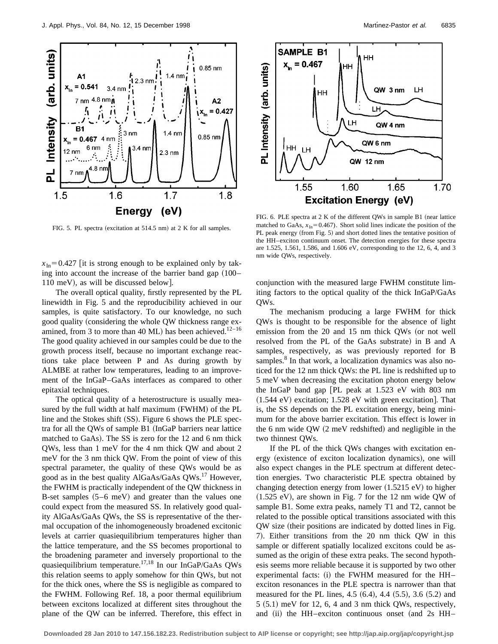

FIG. 5. PL spectra (excitation at  $514.5$  nm) at 2 K for all samples.

 $x_{\text{In}}$ = 0.427 [it is strong enough to be explained only by taking into account the increase of the barrier band gap  $(100 110 \text{ meV}$ , as will be discussed below.

The overall optical quality, firstly represented by the PL linewidth in Fig. 5 and the reproducibility achieved in our samples, is quite satisfactory. To our knowledge, no such good quality (considering the whole QW thickness range examined, from 3 to more than 40 ML) has been achieved.<sup>12-16</sup> The good quality achieved in our samples could be due to the growth process itself, because no important exchange reactions take place between P and As during growth by ALMBE at rather low temperatures, leading to an improvement of the InGaP–GaAs interfaces as compared to other epitaxial techniques.

The optical quality of a heterostructure is usually measured by the full width at half maximum (FWHM) of the PL line and the Stokes shift  $(SS)$ . Figure 6 shows the PLE spectra for all the QWs of sample B1 (InGaP barriers near lattice matched to GaAs). The SS is zero for the 12 and 6 nm thick QWs, less than 1 meV for the 4 nm thick QW and about 2 meV for the 3 nm thick QW. From the point of view of this spectral parameter, the quality of these QWs would be as good as in the best quality AlGaAs/GaAs  $QWs$ <sup>17</sup> However, the FWHM is practically independent of the QW thickness in B-set samples  $(5-6 \text{ meV})$  and greater than the values one could expect from the measured SS. In relatively good quality AlGaAs/GaAs QWs, the SS is representative of the thermal occupation of the inhomogeneously broadened excitonic levels at carrier quasiequilibrium temperatures higher than the lattice temperature, and the SS becomes proportional to the broadening parameter and inversely proportional to the quasiequilibrium temperature.<sup>17,18</sup> In our InGaP/GaAs QWs this relation seems to apply somehow for thin QWs, but not for the thick ones, where the SS is negligible as compared to the FWHM. Following Ref. 18, a poor thermal equilibrium between excitons localized at different sites throughout the plane of the QW can be inferred. Therefore, this effect in



FIG. 6. PLE spectra at  $2 K of the different OWs$  in sample B1 (near lattice matched to GaAs,  $x_{In} = 0.467$ ). Short solid lines indicate the position of the PL peak energy (from Fig. 5) and short dotted lines the tentative position of the HH–exciton continuum onset. The detection energies for these spectra are 1.525, 1.561, 1.586, and 1.606 eV, corresponding to the 12, 6, 4, and 3 nm wide QWs, respectively.

conjunction with the measured large FWHM constitute limiting factors to the optical quality of the thick InGaP/GaAs QWs.

The mechanism producing a large FWHM for thick QWs is thought to be responsible for the absence of light emission from the  $20$  and  $15$  nm thick QWs (or not well resolved from the PL of the GaAs substrate) in B and A samples, respectively, as was previously reported for B samples.<sup>8</sup> In that work, a localization dynamics was also noticed for the 12 nm thick QWs: the PL line is redshifted up to 5 meV when decreasing the excitation photon energy below the InGaP band gap  $|PL$  peak at 1.523 eV with 803 nm  $(1.544 \text{ eV})$  excitation; 1.528 eV with green excitation]. That is, the SS depends on the PL excitation energy, being minimum for the above barrier excitation. This effect is lower in the 6 nm wide  $QW$   $(2 \text{ meV redshifted})$  and negligible in the two thinnest QWs.

If the PL of the thick QWs changes with excitation energy (existence of exciton localization dynamics), one will also expect changes in the PLE spectrum at different detection energies. Two characteristic PLE spectra obtained by changing detection energy from lower  $(1.5215 \text{ eV})$  to higher  $(1.525 \text{ eV})$ , are shown in Fig. 7 for the 12 nm wide QW of sample B1. Some extra peaks, namely T1 and T2, cannot be related to the possible optical transitions associated with this QW size (their positions are indicated by dotted lines in Fig. 7). Either transitions from the 20 nm thick QW in this sample or different spatially localized excitons could be assumed as the origin of these extra peaks. The second hypothesis seems more reliable because it is supported by two other experimental facts:  $(i)$  the FWHM measured for the HH– exciton resonances in the PLE spectra is narrower than that measured for the PL lines,  $4.5~(6.4)$ ,  $4.4~(5.5)$ ,  $3.6~(5.2)$  and  $5$  (5.1) meV for 12, 6, 4 and 3 nm thick QWs, respectively, and  $(ii)$  the HH–exciton continuous onset (and 2s HH–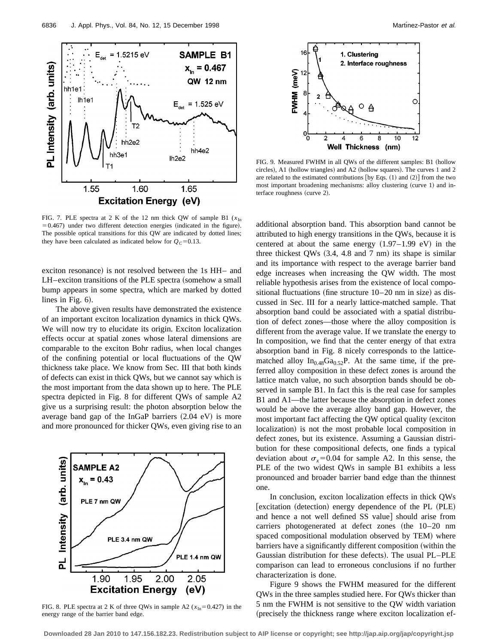

FIG. 7. PLE spectra at 2 K of the 12 nm thick QW of sample B1 ( $x_{\text{In}}$ )  $=0.467$ ) under two different detection energies (indicated in the figure). The possible optical transitions for this QW are indicated by dotted lines; they have been calculated as indicated below for  $Q_C=0.13$ .

exciton resonance) is not resolved between the 1s HH– and LH–exciton transitions of the PLE spectra (somehow a small bump appears in some spectra, which are marked by dotted lines in Fig.  $6$ ).

The above given results have demonstrated the existence of an important exciton localization dynamics in thick QWs. We will now try to elucidate its origin. Exciton localization effects occur at spatial zones whose lateral dimensions are comparable to the exciton Bohr radius, when local changes of the confining potential or local fluctuations of the QW thickness take place. We know from Sec. III that both kinds of defects can exist in thick QWs, but we cannot say which is the most important from the data shown up to here. The PLE spectra depicted in Fig. 8 for different QWs of sample A2 give us a surprising result: the photon absorption below the average band gap of the InGaP barriers  $(2.04 \text{ eV})$  is more and more pronounced for thicker QWs, even giving rise to an



FIG. 8. PLE spectra at 2 K of three QWs in sample A2 ( $x_{In}$ =0.427) in the energy range of the barrier band edge.



FIG. 9. Measured FWHM in all QWs of the different samples: B1 (hollow circles), A1 (hollow triangles) and A2 (hollow squares). The curves 1 and 2 are related to the estimated contributions [by Eqs.  $(1)$  and  $(2)$ ] from the two most important broadening mechanisms: alloy clustering (curve 1) and interface roughness (curve 2).

additional absorption band. This absorption band cannot be attributed to high energy transitions in the QWs, because it is centered at about the same energy  $(1.97-1.99 \text{ eV})$  in the three thickest QWs  $(3.4, 4.8 \text{ and } 7 \text{ nm})$  its shape is similar and its importance with respect to the average barrier band edge increases when increasing the QW width. The most reliable hypothesis arises from the existence of local compositional fluctuations (fine structure  $10-20$  nm in size) as discussed in Sec. III for a nearly lattice-matched sample. That absorption band could be associated with a spatial distribution of defect zones—those where the alloy composition is different from the average value. If we translate the energy to In composition, we find that the center energy of that extra absorption band in Fig. 8 nicely corresponds to the latticematched alloy  $In<sub>0.48</sub>Ga<sub>0.52</sub>P$ . At the same time, if the preferred alloy composition in these defect zones is around the lattice match value, no such absorption bands should be observed in sample B1. In fact this is the real case for samples B1 and A1—the latter because the absorption in defect zones would be above the average alloy band gap. However, the most important fact affecting the  $QW$  optical quality (exciton localization) is not the most probable local composition in defect zones, but its existence. Assuming a Gaussian distribution for these compositional defects, one finds a typical deviation about  $\sigma_r$ =0.04 for sample A2. In this sense, the PLE of the two widest QWs in sample B1 exhibits a less pronounced and broader barrier band edge than the thinnest one.

In conclusion, exciton localization effects in thick QWs [excitation (detection) energy dependence of the PL (PLE) and hence a not well defined SS value] should arise from carriers photogenerated at defect zones (the  $10-20$  nm spaced compositional modulation observed by TEM) where barriers have a significantly different composition (within the Gaussian distribution for these defects). The usual PL–PLE comparison can lead to erroneous conclusions if no further characterization is done.

Figure 9 shows the FWHM measured for the different QWs in the three samples studied here. For QWs thicker than 5 nm the FWHM is not sensitive to the QW width variation (precisely the thickness range where exciton localization ef-

**Downloaded 28 Jan 2010 to 147.156.182.23. Redistribution subject to AIP license or copyright; see http://jap.aip.org/jap/copyright.jsp**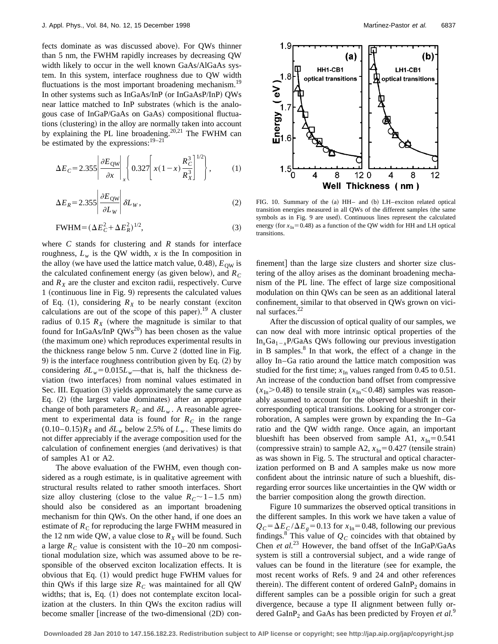fects dominate as was discussed above). For QWs thinner than 5 nm, the FWHM rapidly increases by decreasing QW width likely to occur in the well known GaAs/AlGaAs system. In this system, interface roughness due to QW width fluctuations is the most important broadening mechanism.<sup>19</sup> In other systems such as InGaAs/InP (or InGaAsP/InP) QWs near lattice matched to InP substrates (which is the analogous case of InGaP/GaAs on GaAs) compositional fluctuations (clustering) in the alloy are normally taken into account by explaining the PL line broadening.<sup>20,21</sup> The FWHM can be estimated by the expressions:  $19-21$ 

$$
\Delta E_C = 2.355 \left| \frac{\partial E_{\text{QW}}}{\partial x} \right|_x \left\{ 0.327 \left[ x(1-x) \frac{R_C^3}{R_X^3} \right]^{1/2} \right\},\tag{1}
$$

$$
\Delta E_R = 2.355 \left| \frac{\partial E_{\text{QW}}}{\partial L_W} \right| \delta L_W, \tag{2}
$$

$$
\text{FWHM} = (\Delta E_C^2 + \Delta E_R^2)^{1/2},\tag{3}
$$

where *C* stands for clustering and *R* stands for interface roughness,  $L_w$  is the QW width, x is the In composition in the alloy (we have used the lattice match value, 0.48),  $E_{\text{OW}}$  is the calculated confinement energy (as given below), and  $R_C$ and  $R_X$  are the cluster and exciton radii, respectively. Curve 1 (continuous line in Fig. 9) represents the calculated values of Eq. (1), considering  $R_X$  to be nearly constant (exciton calculations are out of the scope of this paper).<sup>19</sup> A cluster radius of 0.15  $R_X$  (where the magnitude is similar to that found for InGaAs/InP  $QWs^{20}$  has been chosen as the value (the maximum one) which reproduces experimental results in the thickness range below  $5$  nm. Curve  $2$  (dotted line in Fig. 9) is the interface roughness contribution given by Eq.  $(2)$  by considering  $\delta L_w$ =0.015*L<sub>w</sub>*—that is, half the thickness deviation (two interfaces) from nominal values estimated in Sec. III. Equation (3) yields approximately the same curve as Eq.  $(2)$  (the largest value dominates) after an appropriate change of both parameters  $R_c$  and  $\delta L_w$ . A reasonable agreement to experimental data is found for  $R<sub>C</sub>$  in the range  $(0.10-0.15)R_X$  and  $\delta L_w$  below 2.5% of  $L_w$ . These limits do not differ appreciably if the average composition used for the calculation of confinement energies (and derivatives) is that of samples A1 or A2.

The above evaluation of the FWHM, even though considered as a rough estimate, is in qualitative agreement with structural results related to rather smooth interfaces. Short size alloy clustering (close to the value  $R_C \sim 1 - 1.5$  nm) should also be considered as an important broadening mechanism for thin QWs. On the other hand, if one does an estimate of  $R_C$  for reproducing the large FWHM measured in the 12 nm wide QW, a value close to  $R_X$  will be found. Such a large  $R_C$  value is consistent with the 10–20 nm compositional modulation size, which was assumed above to be responsible of the observed exciton localization effects. It is obvious that Eq.  $(1)$  would predict huge FWHM values for thin QWs if this large size  $R_C$  was maintained for all QW widths; that is, Eq.  $(1)$  does not contemplate exciton localization at the clusters. In thin QWs the exciton radius will become smaller [increase of the two-dimensional  $(2D)$  con-



FIG. 10. Summary of the (a) HH- and (b) LH-exciton related optical transition energies measured in all QWs of the different samples (the same symbols as in Fig. 9 are used). Continuous lines represent the calculated energy (for  $x_{In}$ =0.48) as a function of the QW width for HH and LH optical transitions.

finement] than the large size clusters and shorter size clustering of the alloy arises as the dominant broadening mechanism of the PL line. The effect of large size compositional modulation on thin QWs can be seen as an additional lateral confinement, similar to that observed in QWs grown on vicinal surfaces.22

After the discussion of optical quality of our samples, we can now deal with more intrinsic optical properties of the  $In_xGa_{1-x}P/GaAs$  QWs following our previous investigation in B samples. $8\ \text{In}$  that work, the effect of a change in the alloy In–Ga ratio around the lattice match composition was studied for the first time;  $x_{\text{In}}$  values ranged from 0.45 to 0.51. An increase of the conduction band offset from compressive  $(x_{\text{In}} > 0.48)$  to tensile strain  $(x_{\text{In}} < 0.48)$  samples was reasonably assumed to account for the observed blueshift in their corresponding optical transitions. Looking for a stronger corroboration, A samples were grown by expanding the In–Ga ratio and the QW width range. Once again, an important blueshift has been observed from sample A1,  $x_{In} = 0.541$ (compressive strain) to sample A2,  $x_{\text{In}}=0.427$  (tensile strain) as was shown in Fig. 5. The structural and optical characterization performed on B and A samples make us now more confident about the intrinsic nature of such a blueshift, disregarding error sources like uncertainties in the QW width or the barrier composition along the growth direction.

Figure 10 summarizes the observed optical transitions in the different samples. In this work we have taken a value of  $Q_C = \Delta E_C / \Delta E_g = 0.13$  for  $x_{In} = 0.48$ , following our previous findings.<sup>8</sup> This value of  $Q_C$  coincides with that obtained by Chen *et al.*<sup>23</sup> However, the band offset of the InGaP/GaAs system is still a controversial subject, and a wide range of values can be found in the literature (see for example, the most recent works of Refs. 9 and 24 and other references therein). The different content of ordered  $GalnP<sub>2</sub>$  domains in different samples can be a possible origin for such a great divergence, because a type II alignment between fully ordered GaInP<sub>2</sub> and GaAs has been predicted by Froyen *et al.*<sup>9</sup>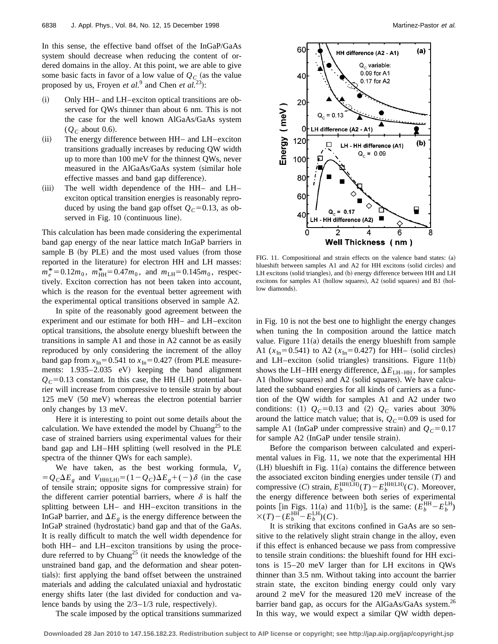In this sense, the effective band offset of the InGaP/GaAs system should decrease when reducing the content of ordered domains in the alloy. At this point, we are able to give some basic facts in favor of a low value of  $Q_C$  (as the value proposed by us, Froyen *et al.*<sup>9</sup> and Chen *et al.*<sup>23</sup>):

- $(i)$  Only HH– and LH–exciton optical transitions are observed for QWs thinner than about 6 nm. This is not the case for the well known AlGaAs/GaAs system  $(Q_C$  about 0.6).
- $(ii)$  The energy difference between HH– and LH–exciton transitions gradually increases by reducing QW width up to more than 100 meV for the thinnest QWs, never measured in the AlGaAs/GaAs system (similar hole effective masses and band gap difference).
- $(iii)$  The well width dependence of the HH– and LH– exciton optical transition energies is reasonably reproduced by using the band gap offset  $Q_C=0.13$ , as observed in Fig. 10 (continuous line).

This calculation has been made considering the experimental band gap energy of the near lattice match InGaP barriers in sample B (by PLE) and the most used values (from those reported in the literature) for electron HH and LH masses:  $m_e^* = 0.12m_0$ ,  $m_{HH}^* = 0.47m_0$ , and  $m_{LH} = 0.145m_0$ , respectively. Exciton correction has not been taken into account, which is the reason for the eventual better agreement with the experimental optical transitions observed in sample A2.

In spite of the reasonably good agreement between the experiment and our estimate for both HH– and LH–exciton optical transitions, the absolute energy blueshift between the transitions in sample A1 and those in A2 cannot be as easily reproduced by only considering the increment of the alloy band gap from  $x_{In}$ =0.541 to  $x_{In}$ =0.427 (from PLE measurements:  $1.935-2.035$  eV) keeping the band alignment  $Q_C$ =0.13 constant. In this case, the HH (LH) potential barrier will increase from compressive to tensile strain by about  $125 \text{ meV}$  (50 meV) whereas the electron potential barrier only changes by 13 meV.

Here it is interesting to point out some details about the calculation. We have extended the model by Chuang<sup>25</sup> to the case of strained barriers using experimental values for their band gap and LH–HH splitting (well resolved in the PLE spectra of the thinner QWs for each sample).

We have taken, as the best working formula,  $V_e$  $=Q_C\Delta E_g$  and  $V_{HH(LH)}=(1-Q_C)\Delta E_g+(-)\delta$  (in the case of tensile strain; opposite signs for compressive strain) for the different carrier potential barriers, where  $\delta$  is half the splitting between LH– and HH–exciton transitions in the InGaP barrier, and  $\Delta E_g$  is the energy difference between the InGaP strained (hydrostatic) band gap and that of the GaAs. It is really difficult to match the well width dependence for both HH– and LH–exciton transitions by using the procedure referred to by Chuang<sup>25</sup> (it needs the knowledge of the unstrained band gap, and the deformation and shear potentials): first applying the band offset between the unstrained materials and adding the calculated uniaxial and hydrostatic energy shifts later (the last divided for conduction and valence bands by using the  $2/3-1/3$  rule, respectively).



FIG. 11. Compositional and strain effects on the valence band states:  $(a)$ blueshift between samples A1 and A2 for HH excitons (solid circles) and LH excitons (solid triangles), and (b) energy difference between HH and LH excitons for samples A1 (hollow squares), A2 (solid squares) and B1 (hollow diamonds).

in Fig. 10 is not the best one to highlight the energy changes when tuning the In composition around the lattice match value. Figure  $11(a)$  details the energy blueshift from sample A1 ( $x_{In}$ =0.541) to A2 ( $x_{In}$ =0.427) for HH– (solid circles) and LH–exciton (solid triangles) transitions. Figure  $11(b)$ shows the LH–HH energy difference,  $\Delta E$ <sub>LH–HH</sub>, for samples A1 (hollow squares) and A2 (solid squares). We have calculated the subband energies for all kinds of carriers as a function of the QW width for samples A1 and A2 under two conditions: (1)  $Q_C=0.13$  and (2)  $Q_C$  varies about 30% around the lattice match value; that is,  $Q_C$ =0.09 is used for sample A1 (InGaP under compressive strain) and  $Q_C = 0.17$ for sample A2 (InGaP under tensile strain).

Before the comparison between calculated and experimental values in Fig. 11, we note that the experimental HH  $(LH)$  blueshift in Fig. 11(a) contains the difference between the associated exciton binding energies under tensile  $(T)$  and compressive (*C*) strain,  $E_b^{\text{HH(LH)}}(T) - E_b^{\text{HH(LH)}}(C)$ . Moreover, the energy difference between both series of experimental points [in Figs. 11(a) and 11(b)], is the same:  $(E_b^{\text{HH}} - E_b^{\text{LH}})$  $\times(T)-(E_b^{\text{HH}}-E_b^{\text{LH}})(C).$ 

It is striking that excitons confined in GaAs are so sensitive to the relatively slight strain change in the alloy, even if this effect is enhanced because we pass from compressive to tensile strain conditions: the blueshift found for HH excitons is 15–20 meV larger than for LH excitons in QWs thinner than 3.5 nm. Without taking into account the barrier strain state, the exciton binding energy could only vary around 2 meV for the measured 120 meV increase of the barrier band gap, as occurs for the AlGaAs/GaAs system.<sup>26</sup> In this way, we would expect a similar QW width depen-

The scale imposed by the optical transitions summarized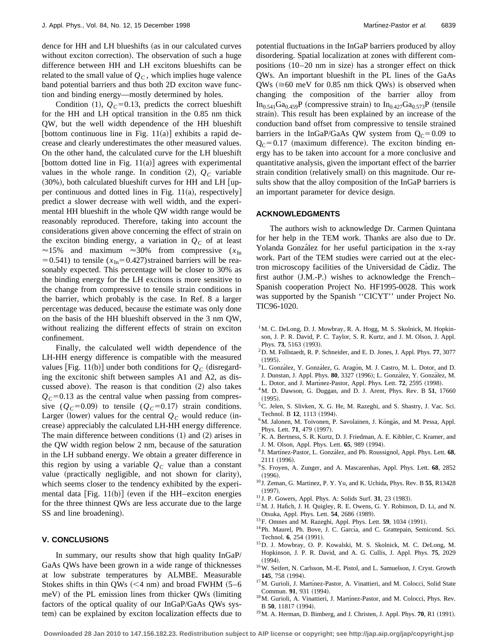dence for HH and LH blueshifts (as in our calculated curves without exciton correction). The observation of such a huge difference between HH and LH excitons blueshifts can be related to the small value of  $Q<sub>C</sub>$ , which implies huge valence band potential barriers and thus both 2D exciton wave function and binding energy—mostly determined by holes.

Condition  $(1)$ ,  $Q_C=0.13$ , predicts the correct blueshift for the HH and LH optical transition in the 0.85 nm thick QW, but the well width dependence of the HH blueshift [bottom continuous line in Fig. 11(a)] exhibits a rapid decrease and clearly underestimates the other measured values. On the other hand, the calculated curve for the LH blueshift [bottom dotted line in Fig.  $11(a)$ ] agrees with experimental values in the whole range. In condition  $(2)$ ,  $Q_C$  variable  $(30%)$ , both calculated blueshift curves for HH and LH [upper continuous and dotted lines in Fig.  $11(a)$ , respectively] predict a slower decrease with well width, and the experimental HH blueshift in the whole QW width range would be reasonably reproduced. Therefore, taking into account the considerations given above concerning the effect of strain on the exciton binding energy, a variation in  $Q<sub>C</sub>$  of at least  $\approx$ 15% and maximum  $\approx$ 30% from compressive ( $x_{\text{In}}$ )  $=0.541$ ) to tensile ( $x_{In} = 0.427$ ) strained barriers will be reasonably expected. This percentage will be closer to 30% as the binding energy for the LH excitons is more sensitive to the change from compressive to tensile strain conditions in the barrier, which probably is the case. In Ref. 8 a larger percentage was deduced, because the estimate was only done on the basis of the HH blueshift observed in the 3 nm QW, without realizing the different effects of strain on exciton confinement.

Finally, the calculated well width dependence of the LH-HH energy difference is compatible with the measured values [Fig. 11(b)] under both conditions for  $Q_C$  (disregarding the excitonic shift between samples A1 and A2, as discussed above). The reason is that condition  $(2)$  also takes  $Q<sub>C</sub>=0.13$  as the central value when passing from compressive  $(Q_C=0.09)$  to tensile  $(Q_C=0.17)$  strain conditions. Larger (lower) values for the central  $Q_C$  would reduce (increase) appreciably the calculated LH-HH energy difference. The main difference between conditions  $(1)$  and  $(2)$  arises in the QW width region below 2 nm, because of the saturation in the LH subband energy. We obtain a greater difference in this region by using a variable  $Q<sub>C</sub>$  value than a constant value (practically negligible, and not shown for clarity), which seems closer to the tendency exhibited by the experimental data [Fig. 11(b)] (even if the HH–exciton energies for the three thinnest QWs are less accurate due to the large SS and line broadening).

## **V. CONCLUSIONS**

In summary, our results show that high quality InGaP/ GaAs QWs have been grown in a wide range of thicknesses at low substrate temperatures by ALMBE. Measurable Stokes shifts in thin QWs  $(< 4$  nm) and broad FWHM  $(5-6)$  $meV$ ) of the PL emission lines from thicker QWs (limiting factors of the optical quality of our InGaP/GaAs QWs system) can be explained by exciton localization effects due to potential fluctuations in the InGaP barriers produced by alloy disordering. Spatial localization at zones with different compositions  $(10-20 \text{ nm in size})$  has a stronger effect on thick QWs. An important blueshift in the PL lines of the GaAs  $QWs$  ( $\approx$ 60 meV for 0.85 nm thick QWs) is observed when changing the composition of the barrier alloy from  $In_{0.541}Ga_{0.459}P$  (compressive strain) to  $In_{0.427}Ga_{0.573}P$  (tensile strain). This result has been explained by an increase of the conduction band offset from compressive to tensile strained barriers in the InGaP/GaAs QW system from  $Q_C = 0.09$  to  $Q<sub>C</sub>=0.17$  (maximum difference). The exciton binding energy has to be taken into account for a more conclusive and quantitative analysis, given the important effect of the barrier strain condition (relatively small) on this magnitude. Our results show that the alloy composition of the InGaP barriers is an important parameter for device design.

#### **ACKNOWLEDGMENTS**

The authors wish to acknowledge Dr. Carmen Quintana for her help in the TEM work. Thanks are also due to Dr. Yolanda González for her useful participation in the x-ray work. Part of the TEM studies were carried out at the electron microscopy facilities of the Universidad de Ca´diz. The first author  $(J.M.-P.)$  wishes to acknowledge the French– Spanish cooperation Project No. HF1995-0028. This work was supported by the Spanish ''CICYT'' under Project No. TIC96-1020.

- <sup>1</sup>M. C. DeLong, D. J. Mowbray, R. A. Hogg, M. S. Skolnick, M. Hopkinson, J. P. R. David, P. C. Taylor, S. R. Kurtz, and J. M. Olson, J. Appl. Phys. **73**, 5163 (1993).
- 2D. M. Follstaedt, R. P. Schneider, and E. D. Jones, J. Appl. Phys. **77**, 3077  $(1995)$
- <sup>3</sup>L. González, Y. González, G. Aragón, M. J. Castro, M. L. Dotor, and D. J. Dunstan, J. Appl. Phys. 80, 3327 (1996); L. González, Y. González, M.
- L. Dotor, and J. Martínez-Pastor, Appl. Phys. Lett. **72**, 2595 (1998).
- 4M. D. Dawson, G. Duggan, and D. J. Arent, Phys. Rev. B **51**, 17660
- $(1995)$ .
- 5C. Jelen, S. Slivken, X. G. He, M. Razeghi, and S. Shastry, J. Vac. Sci. Technol. B 12, 1113 (1994).
- <sup>6</sup>M. Jalonen, M. Toivonen, P. Savolainen, J. Köngäs, and M. Pessa, Appl. Phys. Lett. **71**, 479 (1997).
- 7K. A. Bertness, S. R. Kurtz, D. J. Friedman, A. E. Kibbler, C. Kramer, and J. M. Olson, Appl. Phys. Lett. **65**, 989 (1994).
- <sup>8</sup> J. Martínez-Pastor, L. González, and Ph. Roussignol, Appl. Phys. Lett. 68, 2111 (1996).
- 9S. Froyen, A. Zunger, and A. Mascarenhas, Appl. Phys. Lett. **68**, 2852  $(1996).$
- <sup>10</sup> J. Zeman, G. Martinez, P. Y. Yu, and K. Uchida, Phys. Rev. B **55**, R13428  $(1997).$
- $11$  J. P. Gowers, Appl. Phys. A: Solids Surf. 31, 23 (1983).
- $12$ M. J. Hafich, J. H. Quigley, R. E. Owens, G. Y. Robinson, D. Li, and N. Otsuka, Appl. Phys. Lett. 54, 2686 (1989).
- <sup>13</sup>F. Omnes and M. Razeghi, Appl. Phys. Lett. **59**, 1034 (1991).
- <sup>14</sup>Ph. Maurel, Ph. Bove, J. C. García, and C. Grattepain, Semicond. Sci. Technol. **6**, 254 (1991).
- 15D. J. Mowbray, O. P. Kowalski, M. S. Skolnick, M. C. DeLong, M. Hopkinson, J. P. R. David, and A. G. Cullis, J. Appl. Phys. **75**, 2029  $(1994).$
- 16W. Seifert, N. Carlsson, M.-E. Pistol, and L. Samuelson, J. Cryst. Growth **145**, 758 (1994).
- <sup>17</sup>M. Gurioli, J. Martínez-Pastor, A. Vinattieri, and M. Colocci, Solid State Commun. **91**, 931 (1994).
- <sup>18</sup>M. Gurioli, A. Vinattieri, J. Martínez-Pastor, and M. Colocci, Phys. Rev. B 50, 11817 (1994).
- $^{19}$ M. A. Herman, D. Bimberg, and J. Christen, J. Appl. Phys. **70**, R1 (1991).